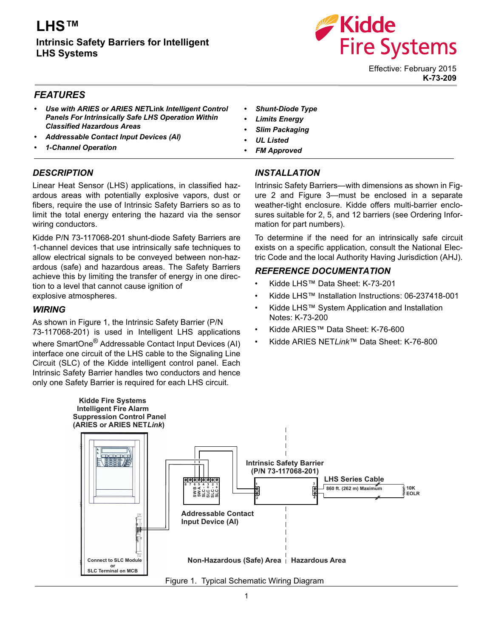# **LHS™**

**Intrinsic Safety Barriers for Intelligent LHS Systems**



Effective: February 2015 **K-73-209**

## *FEATURES*

- *Use with ARIES or ARIES NET***Link** *Intelligent Control Panels For Intrinsically Safe LHS Operation Within Classified Hazardous Areas*
- *Addressable Contact Input Devices (AI)*
- *1-Channel Operation*

## *DESCRIPTION*

Linear Heat Sensor (LHS) applications, in classified hazardous areas with potentially explosive vapors, dust or fibers, require the use of Intrinsic Safety Barriers so as to limit the total energy entering the hazard via the sensor wiring conductors.

Kidde P/N 73-117068-201 shunt-diode Safety Barriers are 1-channel devices that use intrinsically safe techniques to allow electrical signals to be conveyed between non-hazardous (safe) and hazardous areas. The Safety Barriers achieve this by limiting the transfer of energy in one direction to a level that cannot cause ignition of explosive atmospheres.

### *WIRING*

As shown in Figure 1, the Intrinsic Safety Barrier (P/N 73-117068-201) is used in Intelligent LHS applications where SmartOne<sup>®</sup> Addressable Contact Input Devices (AI) interface one circuit of the LHS cable to the Signaling Line Circuit (SLC) of the Kidde intelligent control panel. Each Intrinsic Safety Barrier handles two conductors and hence only one Safety Barrier is required for each LHS circuit.

- *Shunt-Diode Type*
- *Limits Energy*
- *Slim Packaging*
- *UL Listed*
- *FM Approved*

## *INSTALLATION*

Intrinsic Safety Barriers—with dimensions as shown in Figure 2 and Figure 3—must be enclosed in a separate weather-tight enclosure. Kidde offers multi-barrier enclosures suitable for 2, 5, and 12 barriers (see Ordering Information for part numbers).

To determine if the need for an intrinsically safe circuit exists on a specific application, consult the National Electric Code and the local Authority Having Jurisdiction (AHJ).

### *REFERENCE DOCUMENTATION*

- Kidde LHS™ Data Sheet: K-73-201
- Kidde LHS™ Installation Instructions: 06-237418-001
- Kidde LHS™ System Application and Installation Notes: K-73-200
- Kidde ARIES™ Data Sheet: K-76-600
- Kidde ARIES NET*Link*™ Data Sheet: K-76-800